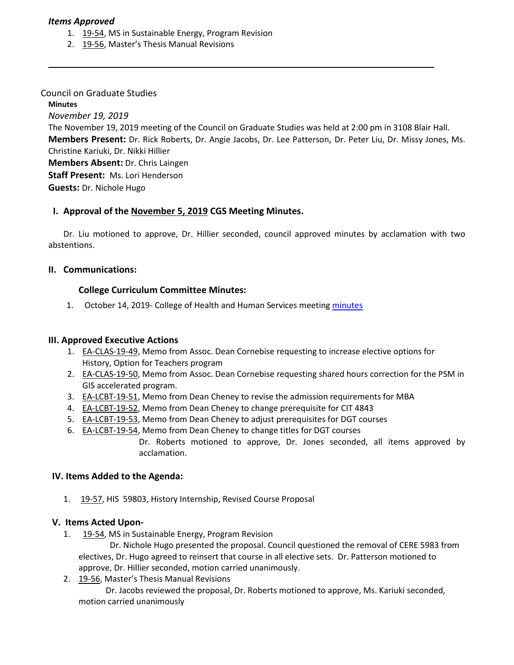#### *Items Approved*

- 1. [19-54, M](http://castle.eiu.edu/eiucgs/currentagendaitems/agenda19-54.pdf)S in Sustainable Energy, Program Revision
- 2. [19-56, M](http://castle.eiu.edu/eiucgs/currentagendaitems/agenda19-56.pdf)aster's Thesis Manual Revisions

#### Council on Graduate Studies

#### **Minutes**

*November 19, 2019*

The November 19, 2019 meeting of the Council on Graduate Studies was held at 2:00 pm in 3108 Blair Hall. **Members Present:** Dr. Rick Roberts, Dr. Angie Jacobs, Dr. Lee Patterson, Dr. Peter Liu, Dr. Missy Jones, Ms. Christine Kariuki, Dr. Nikki Hillier

**Members Absent:** Dr. Chris Laingen

**Staff Present:** Ms. Lori Henderson

**Guests:** Dr. Nichole Hugo

# **I. Approval of the [November 5,](http://castle.eiu.edu/eiucgs/currentminutes/Minutes11-5-19.pdf) 2019 CGS Meeting Minutes.**

Dr. Liu motioned to approve, Dr. Hillier seconded, council approved minutes by acclamation with two abstentions.

# **II. Communications:**

# **College Curriculum Committee Minutes:**

1. October 14, 2019- College of Health and Human Services meeting [minutes](https://pmaileiu-my.sharepoint.com/personal/jemmett_eiu_edu/_layouts/15/onedrive.aspx?originalPath=aHR0cHM6Ly9wbWFpbGVpdS1teS5zaGFyZXBvaW50LmNvbS86ZjovZy9wZXJzb25hbC9qZW1tZXR0X2VpdV9lZHUvRXZtdTJRVnhTM1JObFU3ZUlJTFBxYzRCaEQ2T185SndaOVVkV0gxalRwQlpGUT9ydGltZT1IbUtuS3VkbTEwZw&id=%2Fpersonal%2Fjemmett%5Feiu%5Fedu%2FDocuments%2FCHHS%20Curriculum%20Committee%20Folder%202019%2F11%2D11%2D19%20Meeting%2FMinutes)

# **III. Approved Executive Actions**

- 1. [EA-CLAS-19-49,](http://castle.eiu.edu/eiucgs/exec-actions/EA-CLAS-19-49.pdf) Memo from Assoc. Dean Cornebise requesting to increase elective options for History, Option for Teachers program
- 2. [EA-CLAS-19-50,](http://castle.eiu.edu/eiucgs/exec-actions/EA-CLAS-19-50.pdf) Memo from Assoc. Dean Cornebise requesting shared hours correction for the PSM in GIS accelerated program.
- 3. [EA-LCBT-19-51,](http://castle.eiu.edu/eiucgs/exec-actions/EA-LCBT-19-51.pdf) Memo from Dean Cheney to revise the admission requirements for MBA
- 4. [EA-LCBT-19-52,](http://castle.eiu.edu/eiucgs/exec-actions/EA-LCBT-19-52.pdf) Memo from Dean Cheney to change prerequisite for CIT 4843
- 5. [EA-LCBT-19-53,](http://castle.eiu.edu/eiucgs/exec-actions/EA-LCBT-19-53.pdf) Memo from Dean Cheney to adjust prerequisites for DGT courses
- 6. [EA-LCBT-19-54](http://castle.eiu.edu/eiucgs/exec-actions/EA-LCBT-19-54.pdf), Memo from Dean Cheney to change titles for DGT courses

Dr. Roberts motioned to approve, Dr. Jones seconded, all items approved by acclamation.

# **IV. Items Added to the Agenda:**

1. [19-57,](http://castle.eiu.edu/eiucgs/currentagendaitems/agenda19-57.pdf) HIS 59803, History Internship, Revised Course Proposal

# **V. Items Acted Upon-**

1. [19-54](http://castle.eiu.edu/eiucgs/currentagendaitems/agenda19-54.pdf), MS in Sustainable Energy, Program Revision

 Dr. Nichole Hugo presented the proposal. Council questioned the removal of CERE 5983 from electives, Dr. Hugo agreed to reinsert that course in all elective sets. Dr. Patterson motioned to approve, Dr. Hillier seconded, motion carried unanimously.

2. [19-56,](http://castle.eiu.edu/eiucgs/currentagendaitems/agenda19-56.pdf) Master's Thesis Manual Revisions

 Dr. Jacobs reviewed the proposal, Dr. Roberts motioned to approve, Ms. Kariuki seconded, motion carried unanimously